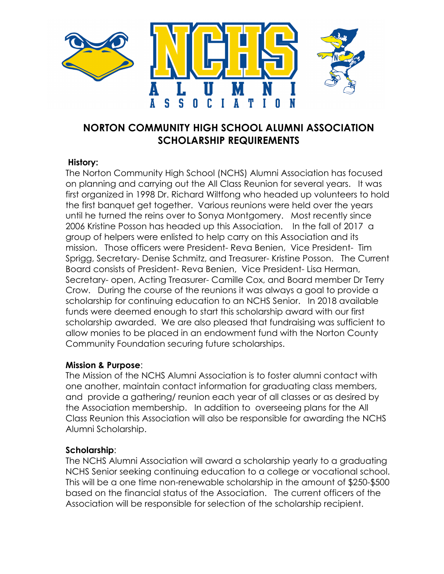

## **NORTON COMMUNITY HIGH SCHOOL ALUMNI ASSOCIATION SCHOLARSHIP REQUIREMENTS**

### **History:**

The Norton Community High School (NCHS) Alumni Association has focused on planning and carrying out the All Class Reunion for several years. It was first organized in 1998 Dr. Richard Wiltfong who headed up volunteers to hold the first banquet get together. Various reunions were held over the years until he turned the reins over to Sonya Montgomery. Most recently since 2006 Kristine Posson has headed up this Association. In the fall of 2017 a group of helpers were enlisted to help carry on this Association and its mission. Those officers were President- Reva Benien, Vice President- Tim Sprigg, Secretary- Denise Schmitz, and Treasurer- Kristine Posson. The Current Board consists of President- Reva Benien, Vice President- Lisa Herman, Secretary- open, Acting Treasurer- Camille Cox, and Board member Dr Terry Crow. During the course of the reunions it was always a goal to provide a scholarship for continuing education to an NCHS Senior. In 2018 available funds were deemed enough to start this scholarship award with our first scholarship awarded. We are also pleased that fundraising was sufficient to allow monies to be placed in an endowment fund with the Norton County Community Foundation securing future scholarships.

#### **Mission & Purpose**:

The Mission of the NCHS Alumni Association is to foster alumni contact with one another, maintain contact information for graduating class members, and provide a gathering/ reunion each year of all classes or as desired by the Association membership. In addition to overseeing plans for the All Class Reunion this Association will also be responsible for awarding the NCHS Alumni Scholarship.

#### **Scholarship**:

The NCHS Alumni Association will award a scholarship yearly to a graduating NCHS Senior seeking continuing education to a college or vocational school. This will be a one time non-renewable scholarship in the amount of \$250-\$500 based on the financial status of the Association. The current officers of the Association will be responsible for selection of the scholarship recipient.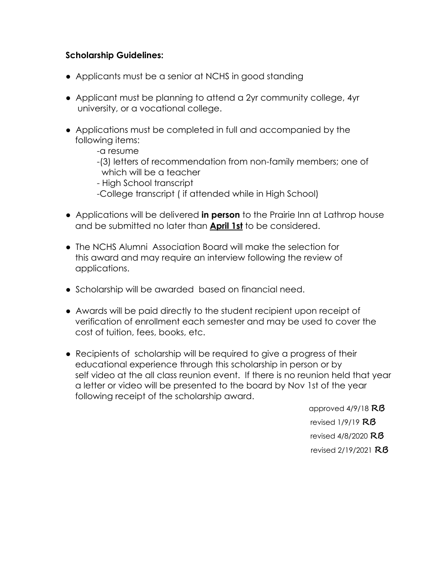## **Scholarship Guidelines:**

- Applicants must be a senior at NCHS in good standing
- Applicant must be planning to attend a 2yr community college, 4yr university, or a vocational college.
- Applications must be completed in full and accompanied by the following items:

 -a resume -(3) letters of recommendation from non-family members; one of which will be a teacher

 - High School transcript -College transcript ( if attended while in High School)

- Applications will be delivered **in person** to the Prairie Inn at Lathrop house and be submitted no later than **April 1st** to be considered.
- The NCHS Alumni Association Board will make the selection for this award and may require an interview following the review of applications.
- Scholarship will be awarded based on financial need.
- Awards will be paid directly to the student recipient upon receipt of verification of enrollment each semester and may be used to cover the cost of tuition, fees, books, etc.
- Recipients of scholarship will be required to give a progress of their educational experience through this scholarship in person or by self video at the all class reunion event. If there is no reunion held that year a letter or video will be presented to the board by Nov 1st of the year following receipt of the scholarship award.

 approved 4/9/18 **RB** revised 1/9/19 **RB** revised 4/8/2020 **RB** revised 2/19/2021 **RB**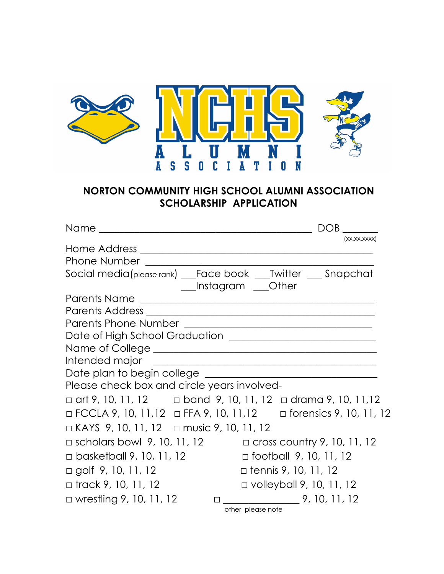

# **NORTON COMMUNITY HIGH SCHOOL ALUMNI ASSOCIATION SCHOLARSHIP APPLICATION**

|                                                                                    |                                 |                               | <b>DOB</b>   |  |
|------------------------------------------------------------------------------------|---------------------------------|-------------------------------|--------------|--|
|                                                                                    |                                 |                               | (xx,xx,xxxx) |  |
|                                                                                    |                                 |                               |              |  |
|                                                                                    |                                 |                               |              |  |
| Social media(please rank) __Face book ___Twitter __ Snapchat                       |                                 |                               |              |  |
|                                                                                    | ___Instagram ___Other           |                               |              |  |
|                                                                                    |                                 |                               |              |  |
|                                                                                    |                                 |                               |              |  |
|                                                                                    |                                 |                               |              |  |
|                                                                                    |                                 |                               |              |  |
| Name of College <b>container the contract of College</b>                           |                                 |                               |              |  |
|                                                                                    |                                 |                               |              |  |
|                                                                                    |                                 |                               |              |  |
| Please check box and circle years involved-                                        |                                 |                               |              |  |
| $\Box$ art 9, 10, 11, 12 $\Box$ band 9, 10, 11, 12 $\Box$ drama 9, 10, 11, 12      |                                 |                               |              |  |
| $\Box$ FCCLA 9, 10, 11, 12 $\Box$ FFA 9, 10, 11, 12 $\Box$ forensics 9, 10, 11, 12 |                                 |                               |              |  |
| $\Box$ KAYS 9, 10, 11, 12 $\Box$ music 9, 10, 11, 12                               |                                 |                               |              |  |
| $\Box$ scholars bowl 9, 10, 11, 12 $\Box$ cross country 9, 10, 11, 12              |                                 |                               |              |  |
| $\Box$ basketball 9, 10, 11, 12                                                    |                                 | $\Box$ football 9, 10, 11, 12 |              |  |
| □ golf 9, 10, 11, 12                                                               |                                 | $\Box$ tennis 9, 10, 11, 12   |              |  |
| □ track 9, 10, 11, 12                                                              | $\Box$ volleyball 9, 10, 11, 12 |                               |              |  |
| $\Box$ wrestling 9, 10, 11, 12                                                     |                                 | $\Box$ 9, 10, 11, 12          |              |  |
|                                                                                    | other please note               |                               |              |  |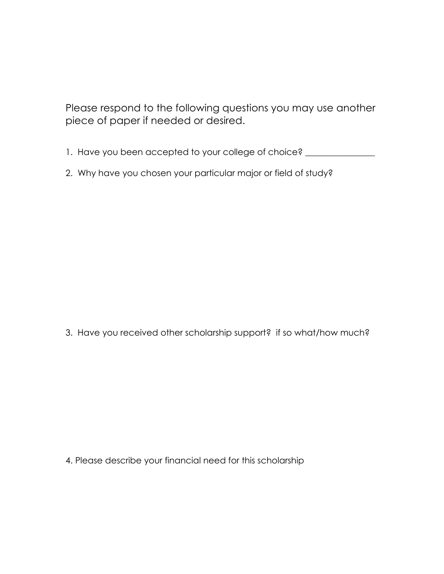Please respond to the following questions you may use another piece of paper if needed or desired.

- 1. Have you been accepted to your college of choice? \_\_\_\_\_\_\_\_\_\_\_\_\_\_\_\_\_\_\_\_\_\_\_\_\_\_\_
- 2. Why have you chosen your particular major or field of study?

3. Have you received other scholarship support? if so what/how much?

4. Please describe your financial need for this scholarship